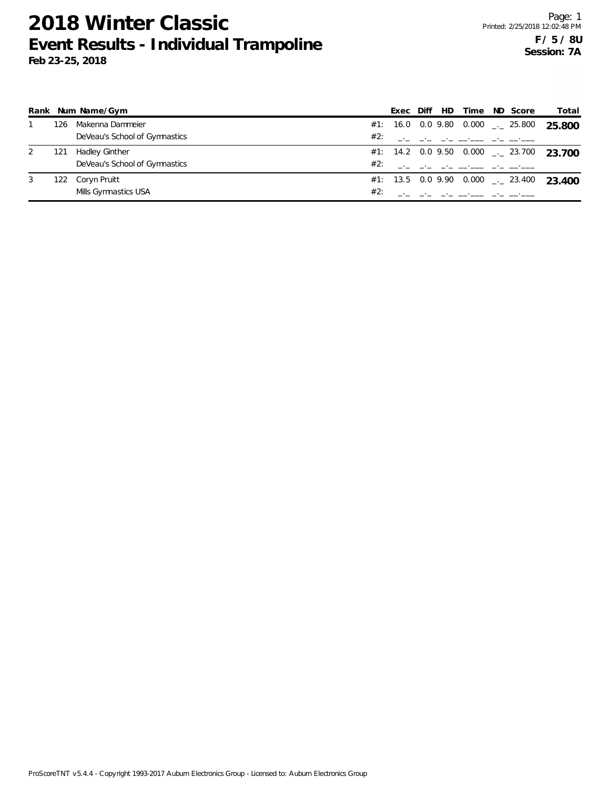|     | Rank Num Name/Gym             |     | Exec | Diff | HD Time                                                     | ND Score | Total                                               |
|-----|-------------------------------|-----|------|------|-------------------------------------------------------------|----------|-----------------------------------------------------|
| 126 | Makenna Dammeier              |     |      |      | #1: 16.0 0.0 9.80 0.000 $\_\_$ 25.800                       |          | 25.800                                              |
|     | DeVeau's School of Gymnastics | #2: |      |      | the control of the control of the control of the control of |          |                                                     |
| 121 | Hadley Ginther                |     |      |      |                                                             |          | #1: 14.2 0.0 9.50 0.000 $\leq$ 23.700 23.700        |
|     | DeVeau's School of Gymnastics | #2: |      |      | <u>المساجدة المردان المساجدة المردان المرد</u>              |          |                                                     |
| 122 | Coryn Pruitt                  |     |      |      |                                                             |          | #1: 13.5 0.0 9.90 0.000 $\frac{1}{2}$ 23.400 23.400 |
|     | Mills Gymnastics USA          | #2: |      |      |                                                             |          |                                                     |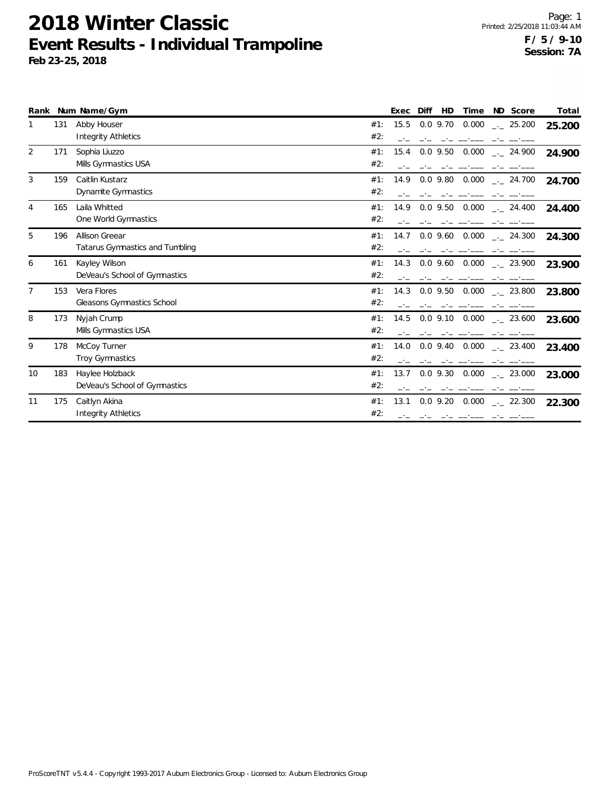|                |     | Rank Num Name/Gym                                 |            | Exec | Diff       | HD | Time               | ND Score             | Total  |
|----------------|-----|---------------------------------------------------|------------|------|------------|----|--------------------|----------------------|--------|
|                | 131 | Abby Houser<br><b>Integrity Athletics</b>         | #1:<br>#2: | 15.5 | $0.0$ 9.70 |    | 0.000              | $\frac{1}{2}$ 25.200 | 25.200 |
| 2              | 171 | Sophia Liuzzo<br>Mills Gymnastics USA             | #1:<br>#2: | 15.4 | $0.0$ 9.50 |    | 0.000              | $-24.900$            | 24.900 |
| 3              | 159 | Caitlin Kustarz<br>Dynamite Gymnastics            | #1:<br>#2: | 14.9 | $0.0$ 9.80 |    | 0.000              | $-24.700$            | 24.700 |
| $\overline{4}$ | 165 | Laila Whitted<br>One World Gymnastics             | #1:<br>#2: | 14.9 | $0.0$ 9.50 |    | 0.000              | $\frac{1}{2}$ 24.400 | 24.400 |
| 5              | 196 | Allison Greear<br>Tatarus Gymnastics and Tumbling | #1:<br>#2: | 14.7 | $0.0$ 9.60 |    | 0.000              | $-24.300$            | 24.300 |
| 6              | 161 | Kayley Wilson<br>DeVeau's School of Gymnastics    | #1:<br>#2: | 14.3 | $0.0$ 9.60 |    |                    | 0.000 . 23.900       | 23.900 |
| 7              | 153 | Vera Flores<br>Gleasons Gymnastics School         | #1:<br>#2: | 14.3 | $0.0$ 9.50 |    | 0.000              | $-23.800$            | 23.800 |
| 8              | 173 | Nyjah Crump<br>Mills Gymnastics USA               | #1:<br>#2: | 14.5 | $0.0$ 9.10 |    | 0.000              | $-23.600$            | 23.600 |
| 9              | 178 | McCoy Turner<br><b>Troy Gymnastics</b>            | #1:<br>#2: | 14.0 |            |    | $0.0$ 9.40 $0.000$ | $\sim$ 23.400        | 23.400 |
| 10             | 183 | Haylee Holzback<br>DeVeau's School of Gymnastics  | #1:<br>#2: | 13.7 | $0.0$ 9.30 |    | 0.000              | . 23.000             | 23.000 |
| 11             | 175 | Caitlyn Akina<br><b>Integrity Athletics</b>       | #1:<br>#2: | 13.1 | $0.0$ 9.20 |    | 0.000              | $\frac{1}{2}$ 22.300 | 22.300 |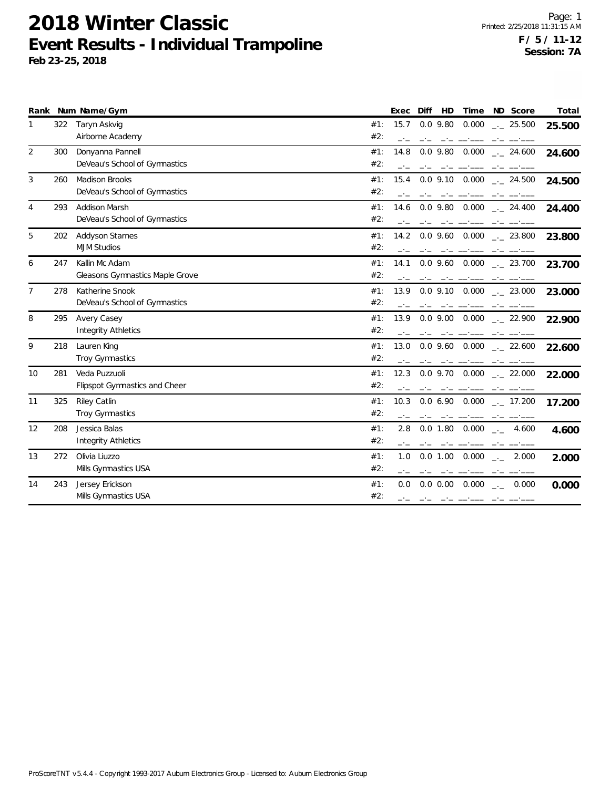|                |     | Rank Num Name/Gym                    |     | Exec | Diff | HD          | Time                                                                                                                                                                                                                           | ND Score                                             | Total  |
|----------------|-----|--------------------------------------|-----|------|------|-------------|--------------------------------------------------------------------------------------------------------------------------------------------------------------------------------------------------------------------------------|------------------------------------------------------|--------|
| 1              | 322 | Taryn Askvig                         | #1: | 15.7 |      | $0.0$ 9.80  | 0.000                                                                                                                                                                                                                          | . 25.500                                             | 25.500 |
|                |     | Airborne Academy                     | #2: |      |      |             |                                                                                                                                                                                                                                |                                                      |        |
| 2              | 300 | Donyanna Pannell                     | #1: | 14.8 |      | $0.0$ 9.80  | 0.000                                                                                                                                                                                                                          | $-24.600$                                            | 24.600 |
|                |     | DeVeau's School of Gymnastics        | #2: |      |      |             |                                                                                                                                                                                                                                |                                                      |        |
| 3              | 260 | <b>Madison Brooks</b>                | #1: | 15.4 |      |             | $0.0$ 9.10 $0.000$                                                                                                                                                                                                             | $\frac{1}{2}$ 24.500                                 | 24.500 |
|                |     | DeVeau's School of Gymnastics        | #2: |      |      |             |                                                                                                                                                                                                                                |                                                      |        |
| 4              | 293 | Addison Marsh                        | #1: | 14.6 |      |             | $0.0$ 9.80 $0.000$                                                                                                                                                                                                             | $\frac{1}{2}$ 24.400                                 | 24.400 |
|                |     | DeVeau's School of Gymnastics        | #2: |      |      |             |                                                                                                                                                                                                                                |                                                      |        |
| 5              | 202 | <b>Addyson Starnes</b>               | #1: | 14.2 |      |             | $0.0$ 9.60 $0.000$                                                                                                                                                                                                             | $-23.800$                                            | 23.800 |
|                |     | <b>MJM Studios</b>                   | #2: |      |      |             |                                                                                                                                                                                                                                |                                                      |        |
| 6              | 247 | Kallin Mc Adam                       | #1: | 14.1 |      |             | $0.0$ 9.60 $0.000$                                                                                                                                                                                                             | $\sim$ 23.700                                        | 23.700 |
|                |     | Gleasons Gymnastics Maple Grove      | #2: |      |      |             |                                                                                                                                                                                                                                |                                                      |        |
| $\overline{7}$ | 278 | Katherine Snook                      | #1: | 13.9 |      |             | $0.0$ 9.10 $0.000$                                                                                                                                                                                                             | $-23.000$                                            | 23.000 |
|                |     | DeVeau's School of Gymnastics        | #2: |      |      |             |                                                                                                                                                                                                                                |                                                      |        |
| 8              | 295 | Avery Casey                          | #1: | 13.9 |      |             |                                                                                                                                                                                                                                | $0.0$ 9.00 0.000 $_{\leftarrow}$ 22.900              | 22.900 |
|                |     | <b>Integrity Athletics</b>           | #2: |      |      |             |                                                                                                                                                                                                                                |                                                      |        |
| 9              | 218 | Lauren King                          | #1: | 13.0 |      |             | $0.0$ 9.60 $0.000$                                                                                                                                                                                                             | $\frac{1}{2}$ 22.600                                 | 22.600 |
|                |     | <b>Troy Gymnastics</b>               | #2: |      |      |             |                                                                                                                                                                                                                                |                                                      |        |
| 10             | 281 | Veda Puzzuoli                        | #1: | 12.3 |      |             | $0.0$ 9.70 $0.000$                                                                                                                                                                                                             | . 22.000                                             | 22.000 |
|                |     | <b>Flipspot Gymnastics and Cheer</b> | #2: |      |      |             |                                                                                                                                                                                                                                |                                                      |        |
| 11             | 325 | Riley Catlin                         | #1: | 10.3 |      |             | $0.0\,6.90\,0.000$                                                                                                                                                                                                             | . 17.200                                             | 17.200 |
|                |     | <b>Troy Gymnastics</b>               | #2: |      |      |             |                                                                                                                                                                                                                                |                                                      |        |
| 12             | 208 | Jessica Balas                        | #1: | 2.8  |      | 0.0 1.80    | 0.000                                                                                                                                                                                                                          | 4.600<br>$\rightarrow$                               | 4.600  |
|                |     | <b>Integrity Athletics</b>           | #2: |      |      |             |                                                                                                                                                                                                                                |                                                      |        |
| 13             | 272 | Olivia Liuzzo                        | #1: | 1.0  |      | 0.0 1.00    | 0.000                                                                                                                                                                                                                          | 2.000<br>$\rightarrow$                               | 2.000  |
|                |     | Mills Gymnastics USA                 | #2: |      |      |             |                                                                                                                                                                                                                                |                                                      |        |
| 14             | 243 | Jersey Erickson                      | #1: | 0.0  |      | $0.0\ 0.00$ | 0.000                                                                                                                                                                                                                          | $\begin{bmatrix} -1 \\ -1 \\ -1 \end{bmatrix}$ 0.000 | 0.000  |
|                |     | Mills Gymnastics USA                 | #2: |      |      |             | and the contract of the contract of the contract of the contract of the contract of the contract of the contract of the contract of the contract of the contract of the contract of the contract of the contract of the contra |                                                      |        |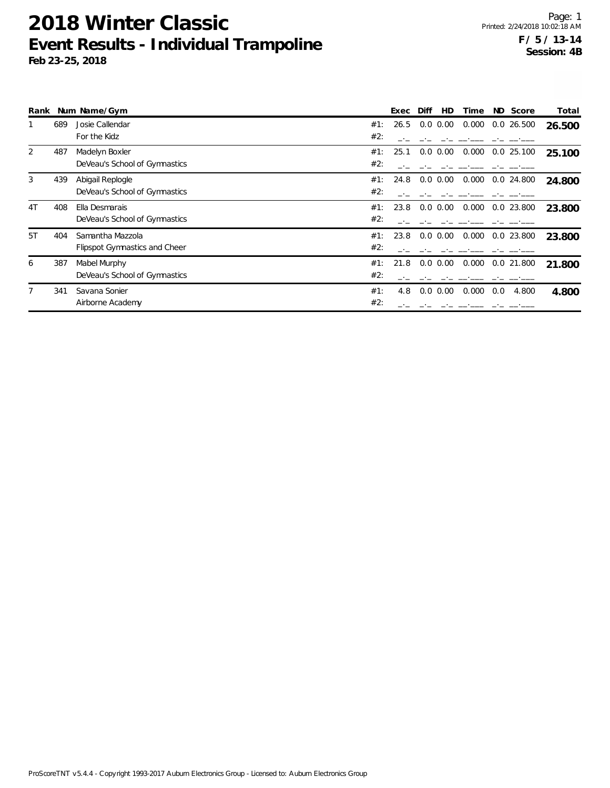|                |     | Rank Num Name/Gym             |     | Exec | Diff | HD            | Time  | ND Score     | Total  |
|----------------|-----|-------------------------------|-----|------|------|---------------|-------|--------------|--------|
|                | 689 | Josie Callendar               | #1: | 26.5 |      | $0.0 \, 0.00$ | 0.000 | $0.0$ 26.500 | 26.500 |
|                |     | For the Kidz                  | #2: |      |      |               |       |              |        |
| 2              | 487 | Madelyn Boxler                | #1: | 25.1 |      | $0.0 \, 0.00$ | 0.000 | 0.025.100    | 25.100 |
|                |     | DeVeau's School of Gymnastics | #2: |      |      |               |       |              |        |
| 3              | 439 | Abigail Replogle              | #1: | 24.8 |      | $0.0 \, 0.00$ | 0.000 | $0.0$ 24.800 | 24.800 |
|                |     | DeVeau's School of Gymnastics | #2: |      |      |               |       |              |        |
| 4 <sub>T</sub> | 408 | Ella Desmarais                | #1: | 23.8 |      | $0.0 \, 0.00$ | 0.000 | $0.0$ 23.800 | 23.800 |
|                |     | DeVeau's School of Gymnastics | #2: |      |      |               |       |              |        |
| 5T             | 404 | Samantha Mazzola              | #1: | 23.8 |      | $0.0 \, 0.00$ | 0.000 | 0.0 23.800   | 23.800 |
|                |     | Flipspot Gymnastics and Cheer | #2: |      |      |               |       |              |        |
| 6              | 387 | Mabel Murphy                  | #1: | 21.8 |      | $0.0 \, 0.00$ | 0.000 | $0.0$ 21.800 | 21.800 |
|                |     | DeVeau's School of Gymnastics | #2: |      |      |               |       |              |        |
|                | 341 | Savana Sonier                 | #1: | 4.8  | 0.0  | 0.00          | 0.000 | 0.0<br>4.800 | 4.800  |
|                |     | Airborne Academy              | #2: |      |      |               |       |              |        |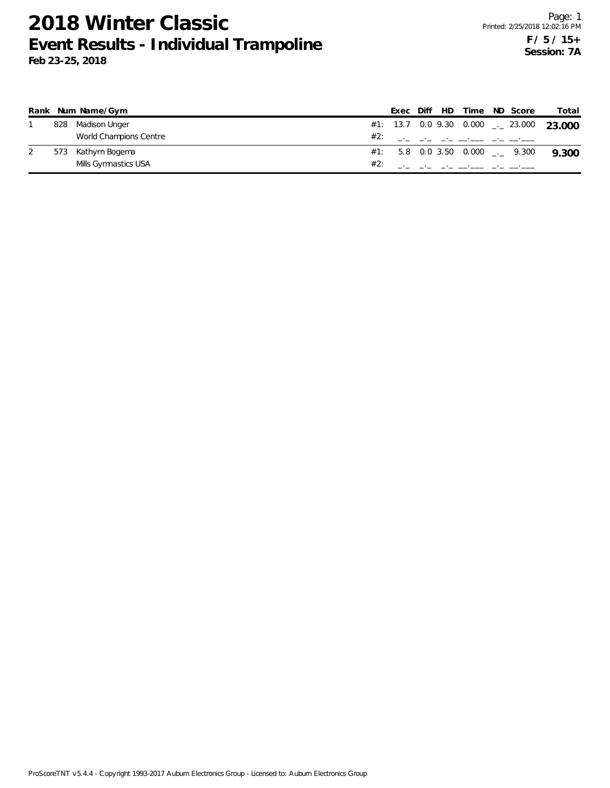|     | Rank Num Name/Gym      |     | Exec |  | Diff HD Time ND Score                               |                                   | Total                                               |
|-----|------------------------|-----|------|--|-----------------------------------------------------|-----------------------------------|-----------------------------------------------------|
| 828 | Madison Unger          |     |      |  |                                                     |                                   | #1: 13.7 0.0 9.30 0.000 $\rightarrow$ 23.000 23.000 |
|     | World Champions Centre | #2: |      |  | <u>المستحقين المحت المستحقين المحت المحت المحتر</u> |                                   |                                                     |
| 573 | Kathyrn Bogema         |     |      |  |                                                     | $\#1$ : 5.8 0.0 3.50 0.000  9.300 | 9.300                                               |
|     | Mills Gymnastics USA   |     |      |  |                                                     |                                   |                                                     |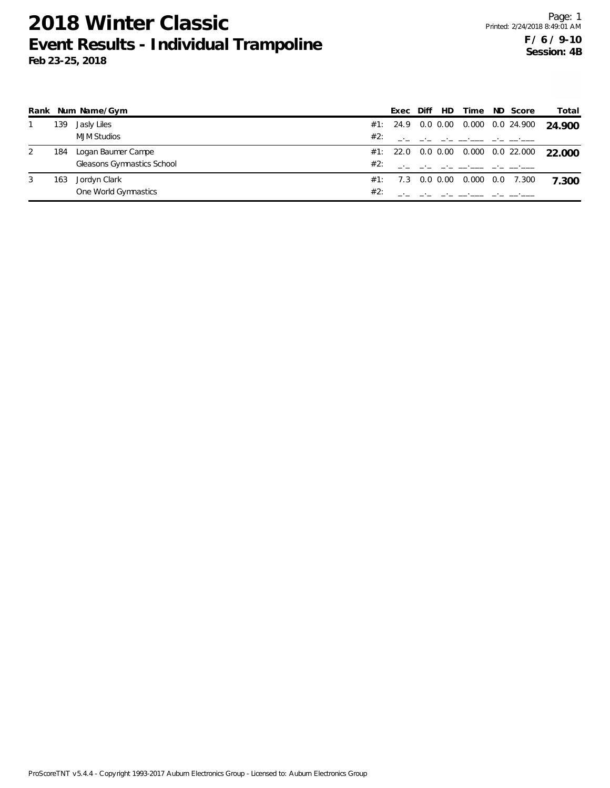|   |     | Rank Num Name/Gym          |     | Exec             | Diff | HD | Time                                                                                      | ND Score    | Total                                     |
|---|-----|----------------------------|-----|------------------|------|----|-------------------------------------------------------------------------------------------|-------------|-------------------------------------------|
|   | 139 | Jasly Liles                |     |                  |      |    | $\#1$ : 24.9 0.0 0.00 0.000 0.0 24.900                                                    |             | 24.900                                    |
|   |     | <b>MJM Studios</b>         | #2: |                  |      |    | the company of the company of the company of the company of the company of the company of |             |                                           |
| 2 | 184 | Logan Baumer Campe         |     |                  |      |    |                                                                                           |             | #1: 22.0 0.0 0.00 0.000 0.0 22.000 22.000 |
|   |     | Gleasons Gymnastics School | #2: |                  |      |    | the control of the control of the control of the control of                               |             |                                           |
| 3 | 163 | Jordyn Clark               |     | #1: 7.3 0.0 0.00 |      |    | 0.000                                                                                     | $0.0$ 7.300 | 7.300                                     |
|   |     | One World Gymnastics       | #2: |                  |      |    |                                                                                           |             |                                           |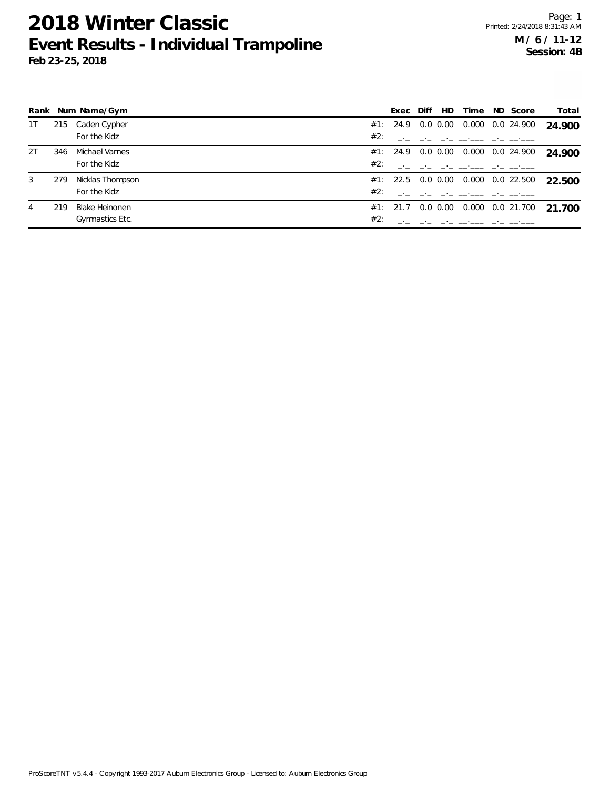|    |     | Rank Num Name/Gym     |     | Exec              | Diff | HD.           | Time  | ND Score   | Total  |
|----|-----|-----------------------|-----|-------------------|------|---------------|-------|------------|--------|
| 1T | 215 | Caden Cypher          |     | #1: 24.9 0.0 0.00 |      |               | 0.000 | 0.0 24.900 | 24.900 |
|    |     | For the Kidz          | #2: |                   |      |               |       |            |        |
| 2T | 346 | Michael Varnes        |     | #1: 24.9 0.0 0.00 |      |               | 0.000 | 0.0 24.900 | 24.900 |
|    |     | For the Kidz          | #2: |                   |      |               |       |            |        |
| 3  | 279 | Nicklas Thompson      |     | #1: 22.5 0.0 0.00 |      |               | 0.000 | 0.0 22.500 | 22.500 |
|    |     | For the Kidz          | #2: |                   |      |               |       |            |        |
| 4  | 219 | <b>Blake Heinonen</b> |     | #1: 21.7          |      | $0.0 \, 0.00$ | 0.000 | 0.0 21.700 | 21.700 |
|    |     | Gymnastics Etc.       | #2: |                   |      |               |       |            |        |

ProScoreTNT v5.4.4 - Copyright 1993-2017 Auburn Electronics Group - Licensed to: Auburn Electronics Group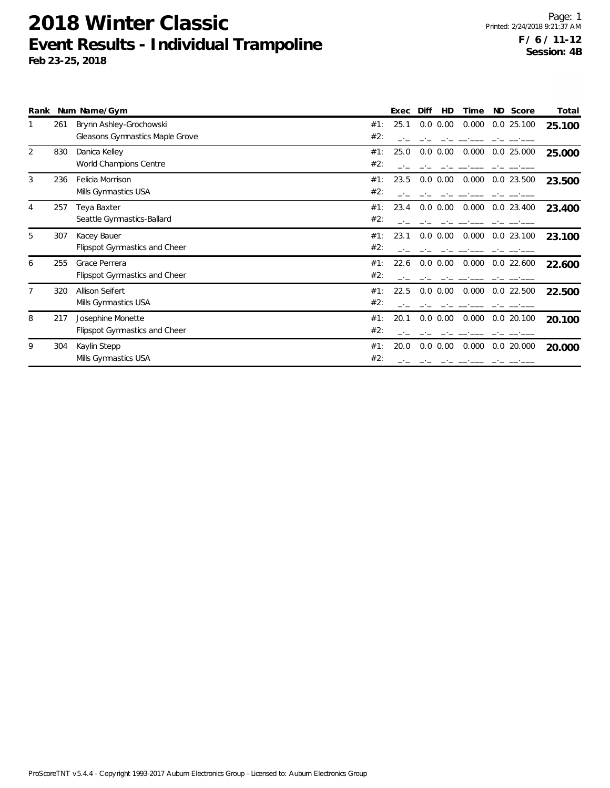|   |     | Rank Num Name/Gym                    |     | Exec | Diff        | HD<br>Time | ND Score     | Total  |
|---|-----|--------------------------------------|-----|------|-------------|------------|--------------|--------|
|   | 261 | Brynn Ashley-Grochowski              | #1: | 25.1 | $0.0\ 0.00$ | 0.000      | 0.025.100    | 25.100 |
|   |     | Gleasons Gymnastics Maple Grove      | #2: |      |             |            |              |        |
| 2 | 830 | Danica Kelley                        | #1: | 25.0 | $0.0\ 0.00$ | 0.000      | $0.0$ 25.000 | 25.000 |
|   |     | World Champions Centre               | #2: |      |             |            |              |        |
| 3 | 236 | Felicia Morrison                     | #1: | 23.5 | $0.0\ 0.00$ | 0.000      | $0.0$ 23.500 | 23.500 |
|   |     | Mills Gymnastics USA                 | #2: |      |             |            |              |        |
| 4 | 257 | Teya Baxter                          | #1: | 23.4 | $0.0\ 0.00$ | 0.000      | $0.0$ 23.400 | 23.400 |
|   |     | Seattle Gymnastics-Ballard           | #2: |      |             |            |              |        |
| 5 | 307 | Kacey Bauer                          | #1: | 23.1 | $0.0\ 0.00$ | 0.000      | $0.0$ 23.100 | 23.100 |
|   |     | <b>Flipspot Gymnastics and Cheer</b> | #2: |      |             |            |              |        |
| 6 | 255 | Grace Perrera                        | #1: | 22.6 | $0.0\ 0.00$ | 0.000      | $0.0$ 22.600 | 22.600 |
|   |     | <b>Flipspot Gymnastics and Cheer</b> | #2: |      |             |            |              |        |
|   | 320 | Allison Seifert                      | #1: | 22.5 | $0.0\ 0.00$ | 0.000      | 0.0 22.500   | 22.500 |
|   |     | Mills Gymnastics USA                 | #2: |      |             |            |              |        |
| 8 | 217 | Josephine Monette                    | #1: | 20.1 | $0.0\ 0.00$ | 0.000      | 0.020.100    | 20.100 |
|   |     | <b>Flipspot Gymnastics and Cheer</b> | #2: |      |             |            |              |        |
| 9 | 304 | Kaylin Stepp                         | #1: | 20.0 | $0.0\ 0.00$ | 0.000      | 0.020.000    | 20.000 |
|   |     | Mills Gymnastics USA                 | #2: |      |             |            |              |        |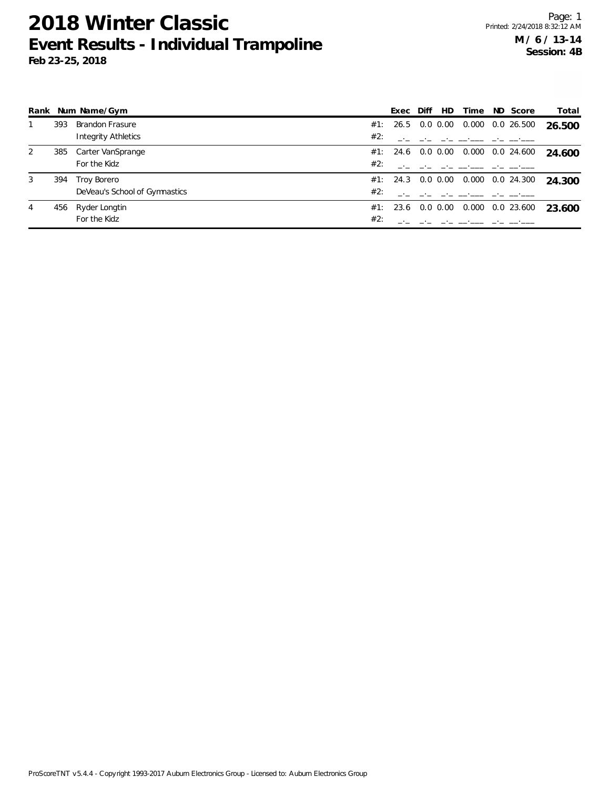|   |     | Rank Num Name/Gym             |     | Exec              | Diff | HD. | Time  | ND Score         | Total  |
|---|-----|-------------------------------|-----|-------------------|------|-----|-------|------------------|--------|
|   | 393 | <b>Brandon Frasure</b>        |     | #1: 26.5 0.0 0.00 |      |     | 0.000 | 0.0 26.500       | 26.500 |
|   |     | Integrity Athletics           | #2: |                   |      |     |       |                  |        |
| 2 | 385 | Carter VanSprange             |     | #1: 24.6 0.0 0.00 |      |     |       | 0.000 0.0 24.600 | 24.600 |
|   |     | For the Kidz                  | #2: |                   |      |     |       |                  |        |
| 3 | 394 | Troy Borero                   |     | #1: 24.3 0.0 0.00 |      |     |       | 0.000 0.0 24.300 | 24.300 |
|   |     | DeVeau's School of Gymnastics | #2: |                   |      |     |       |                  |        |
| 4 | 456 | Ryder Longtin                 |     | #1: 23.6 0.0 0.00 |      |     |       | 0.000 0.0 23.600 | 23.600 |
|   |     | For the Kidz                  | #2: |                   |      |     |       |                  |        |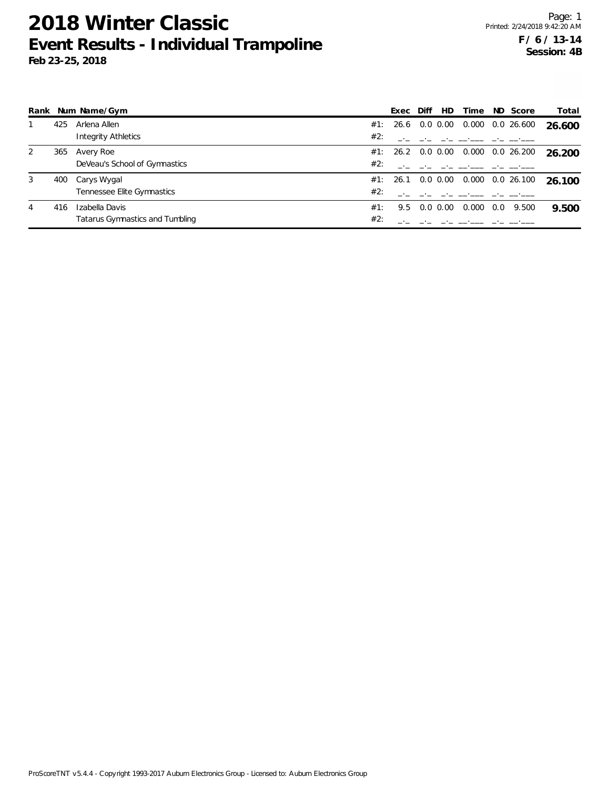|   |     | Rank Num Name/Gym               |     | Exec              | Diff | HD.           | Time  |     | ND Score   | Total  |
|---|-----|---------------------------------|-----|-------------------|------|---------------|-------|-----|------------|--------|
|   | 425 | Arlena Allen                    | #1: | 26.6              |      | $0.0 \, 0.00$ | 0.000 |     | 0.0 26.600 | 26.600 |
|   |     | Integrity Athletics             | #2: |                   |      |               |       |     |            |        |
| 2 | 365 | Avery Roe                       |     | #1: 26.2 0.0 0.00 |      |               | 0.000 |     | 0.0 26.200 | 26.200 |
|   |     | DeVeau's School of Gymnastics   | #2: |                   |      |               |       |     |            |        |
| 3 | 400 | Carys Wygal                     |     | #1: 26.1 0.0 0.00 |      |               | 0.000 |     | 0.0 26.100 | 26.100 |
|   |     | Tennessee Elite Gymnastics      | #2: |                   |      |               |       |     |            |        |
| 4 | 416 | Izabella Davis                  | #1: | 9.5               |      | $0.0\,0.00$   | 0.000 | 0.0 | 9.500      | 9.500  |
|   |     | Tatarus Gymnastics and Tumbling | #2: |                   |      |               |       |     |            |        |

ProScoreTNT v5.4.4 - Copyright 1993-2017 Auburn Electronics Group - Licensed to: Auburn Electronics Group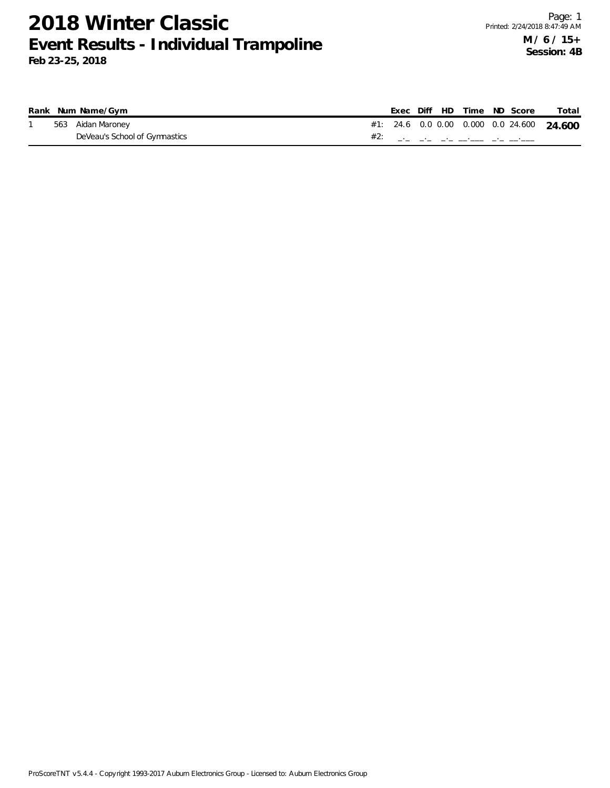|  | Rank Num Name/Gym             |  |  | Exec Diff HD Time ND Score                      | Total |
|--|-------------------------------|--|--|-------------------------------------------------|-------|
|  | 563 Aidan Maroney             |  |  | #1: 24.6  0.0  0.00  0.000  0.0  24.600  24.600 |       |
|  | DeVeau's School of Gymnastics |  |  | المستحقق المحتار المستحقق المحتار المحتار المحت |       |